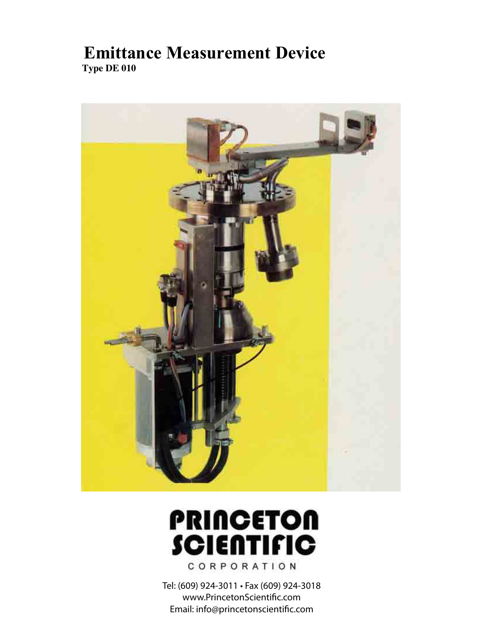# **Emittance Measurement Device Type DE 010**



# **PRINCETON SCIENTIFIC** CORPORATION

Tel: (609) 924-3011 • Fax (609) 924-3018 www.PrincetonScientific.com Email: info@princetonscientific.com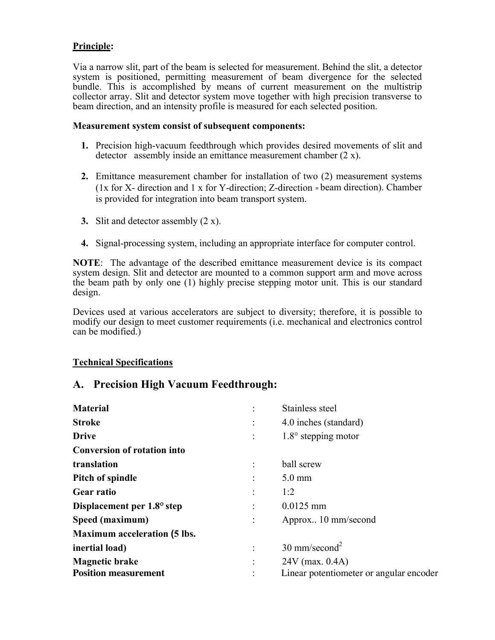#### **Principle:**

Via a narrow slit, part of the beam is selected for measurement. Behind the slit, a detector system is positioned, permitting measurement of beam divergence for the selected bundle. This is accomplished by means of current measurement on the multistrip collector array. Slit and detector system move together with high precision transverse to beam direction, and an intensity profile is measured for each selected position.

#### **Measurement system consist of subsequent components:**

- **1.** Precision high-vacuum feedthrough which provides desired movements of slit and detector assembly inside an emittance measurement chamber (2 x).
- **2.** Emittance measurement chamber for installation of two (2) measurement systems (1x for X- direction and 1 x for Y-direction; Z-direction = beam direction). Chamber is provided for integration into beam transport system.
- **3.** Slit and detector assembly (2 x).
- **4.** Signal-processing system, including an appropriate interface for computer control.

**NOTE**: The advantage of the described emittance measurement device is its compact system design. Slit and detector are mounted to a common support arm and move across the beam path by only one (1) highly precise stepping motor unit. This is our standard design.

Devices used at various accelerators are subject to diversity; therefore, it is possible to modify our design to meet customer requirements (i.e. mechanical and electronics control can be modified.)

#### **Technical Specifications**

#### **A. Precision High Vacuum Feedthrough:**

| <b>Material</b>                     | Stainless steel                         |
|-------------------------------------|-----------------------------------------|
| <b>Stroke</b>                       | 4.0 inches (standard)                   |
| <b>Drive</b>                        | $1.8^{\circ}$ stepping motor            |
| <b>Conversion of rotation into</b>  |                                         |
| translation                         | ball screw                              |
| Pitch of spindle                    | $5.0 \text{ mm}$                        |
| <b>Gear ratio</b>                   | 1:2                                     |
| Displacement per 1.8° step          | $0.0125$ mm                             |
| Speed (maximum)                     | Approx 10 mm/second                     |
| <b>Maximum acceleration (5 lbs.</b> |                                         |
| inertial load)                      | $30 \text{ mm/second}^2$                |
| <b>Magnetic brake</b>               | $24V$ (max. 0.4A)                       |
| <b>Position measurement</b>         | Linear potentiometer or angular encoder |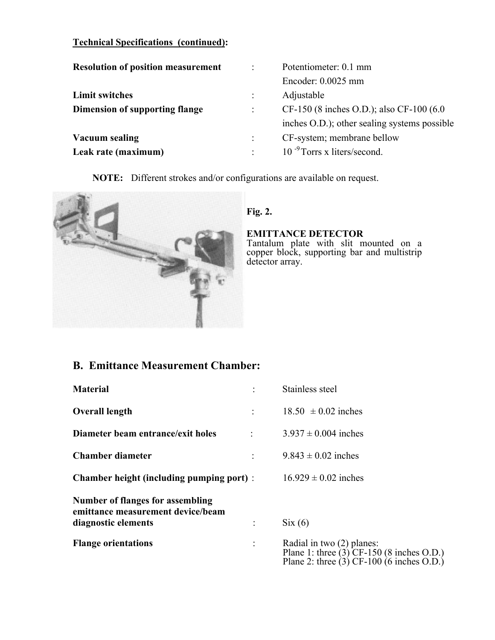| CF-150 (8 inches O.D.); also CF-100 (6.0)    |
|----------------------------------------------|
| inches O.D.); other sealing systems possible |
|                                              |
|                                              |
|                                              |

**NOTE:** Different strokes and/or configurations are available on request.



#### **Fig. 2.**

**EMITTANCE DETECTOR**

Tantalum plate with slit mounted on a copper block, supporting bar and multistrip detector array.

## **B. Emittance Measurement Chamber:**

| <b>Material</b>                                                                                     | Stainless steel                                                                                                             |
|-----------------------------------------------------------------------------------------------------|-----------------------------------------------------------------------------------------------------------------------------|
| <b>Overall length</b>                                                                               | $18.50 \pm 0.02$ inches                                                                                                     |
| Diameter beam entrance/exit holes                                                                   | $3.937 \pm 0.004$ inches                                                                                                    |
| <b>Chamber diameter</b>                                                                             | $9.843 \pm 0.02$ inches                                                                                                     |
| <b>Chamber height (including pumping port):</b>                                                     | $16.929 \pm 0.02$ inches                                                                                                    |
| <b>Number of flanges for assembling</b><br>emittance measurement device/beam<br>diagnostic elements | $\text{Six}(6)$                                                                                                             |
| <b>Flange orientations</b>                                                                          | Radial in two (2) planes:<br>Plane 1: three $(3)$ CF-150 $(8$ inches O.D.)<br>Plane 2: three $(3)$ CF-100 $(6$ inches O.D.) |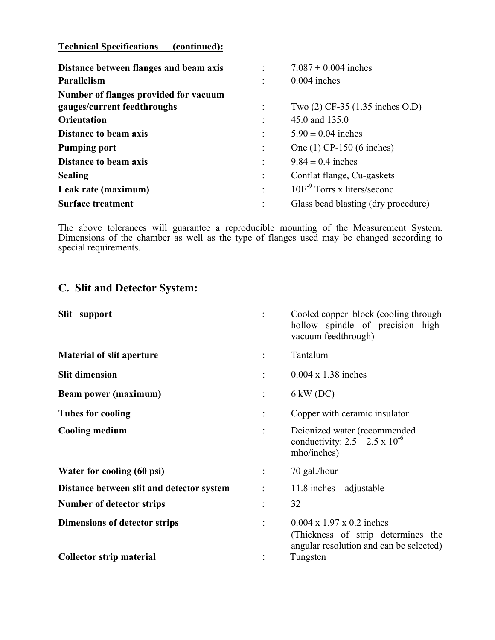| Distance between flanges and beam axis |                | $7.087 \pm 0.004$ inches            |
|----------------------------------------|----------------|-------------------------------------|
| Parallelism                            | $\ddot{\cdot}$ | $0.004$ inches                      |
| Number of flanges provided for vacuum  |                |                                     |
| gauges/current feedthroughs            |                | Two (2) CF-35 (1.35 inches O.D)     |
| <b>Orientation</b>                     |                | 45.0 and 135.0                      |
| <b>Distance to beam axis</b>           |                | $5.90 \pm 0.04$ inches              |
| <b>Pumping port</b>                    | $\ddot{\cdot}$ | One (1) CP-150 (6 inches)           |
| <b>Distance to beam axis</b>           |                | $9.84 \pm 0.4$ inches               |
| <b>Sealing</b>                         |                | Conflat flange, Cu-gaskets          |
| Leak rate (maximum)                    | ÷              | $10E-9$ Torrs x liters/second       |
| <b>Surface treatment</b>               |                | Glass bead blasting (dry procedure) |

The above tolerances will guarantee a reproducible mounting of the Measurement System. Dimensions of the chamber as well as the type of flanges used may be changed according to special requirements.

### **C. Slit and Detector System:**

| Slit support                              | Cooled copper block (cooling through<br>hollow spindle of precision high-<br>vacuum feedthrough)                       |
|-------------------------------------------|------------------------------------------------------------------------------------------------------------------------|
| <b>Material of slit aperture</b>          | Tantalum                                                                                                               |
| <b>Slit dimension</b>                     | $0.004 \times 1.38$ inches                                                                                             |
| <b>Beam power (maximum)</b>               | $6 \text{ kW}$ (DC)                                                                                                    |
| <b>Tubes for cooling</b>                  | Copper with ceramic insulator                                                                                          |
| <b>Cooling medium</b>                     | Deionized water (recommended<br>conductivity: $2.5 - 2.5 \times 10^{-6}$<br>mho/inches)                                |
| Water for cooling (60 psi)                | 70 gal./hour                                                                                                           |
| Distance between slit and detector system | $11.8$ inches – adjustable                                                                                             |
| Number of detector strips                 | 32                                                                                                                     |
| Dimensions of detector strips             | $0.004 \times 1.97 \times 0.2$ inches<br>(Thickness of strip determines the<br>angular resolution and can be selected) |
| <b>Collector strip material</b>           | Tungsten                                                                                                               |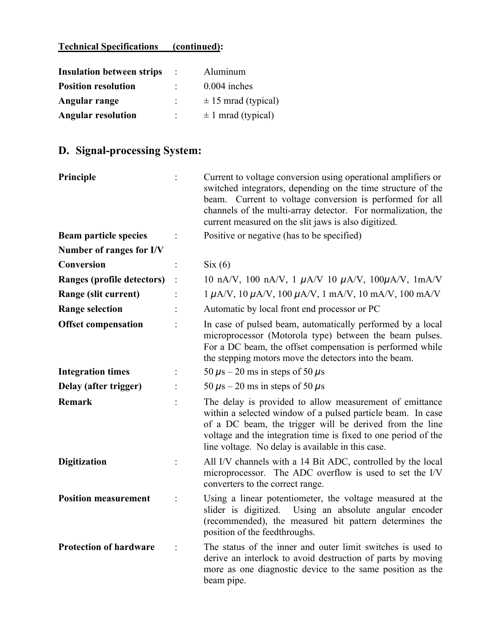| <b>Insulation between strips</b> | Aluminum                |
|----------------------------------|-------------------------|
| <b>Position resolution</b>       | $0.004$ inches          |
| Angular range                    | $\pm$ 15 mrad (typical) |
| <b>Angular resolution</b>        | $\pm$ 1 mrad (typical)  |

# **D. Signal-processing System:**

| Principle                     | Current to voltage conversion using operational amplifiers or<br>switched integrators, depending on the time structure of the<br>beam. Current to voltage conversion is performed for all<br>channels of the multi-array detector. For normalization, the<br>current measured on the slit jaws is also digitized. |
|-------------------------------|-------------------------------------------------------------------------------------------------------------------------------------------------------------------------------------------------------------------------------------------------------------------------------------------------------------------|
| <b>Beam particle species</b>  | Positive or negative (has to be specified)                                                                                                                                                                                                                                                                        |
| Number of ranges for I/V      |                                                                                                                                                                                                                                                                                                                   |
| Conversion                    | $\mathrm{Six}\left(6\right)$                                                                                                                                                                                                                                                                                      |
| Ranges (profile detectors)    | 10 nA/V, 100 nA/V, 1 $\mu$ A/V 10 $\mu$ A/V, 100 $\mu$ A/V, 1mA/V                                                                                                                                                                                                                                                 |
| Range (slit current)          | $1 \mu A/V$ , $10 \mu A/V$ , $100 \mu A/V$ , $1 \mu A/V$ , $10 \mu A/V$ , $100 \mu A/V$                                                                                                                                                                                                                           |
| <b>Range selection</b>        | Automatic by local front end processor or PC                                                                                                                                                                                                                                                                      |
| <b>Offset compensation</b>    | In case of pulsed beam, automatically performed by a local<br>microprocessor (Motorola type) between the beam pulses.<br>For a DC beam, the offset compensation is performed while<br>the stepping motors move the detectors into the beam.                                                                       |
| <b>Integration times</b>      | 50 $\mu$ s – 20 ms in steps of 50 $\mu$ s                                                                                                                                                                                                                                                                         |
| Delay (after trigger)         | 50 $\mu$ s – 20 ms in steps of 50 $\mu$ s                                                                                                                                                                                                                                                                         |
| Remark                        | The delay is provided to allow measurement of emittance<br>within a selected window of a pulsed particle beam. In case<br>of a DC beam, the trigger will be derived from the line<br>voltage and the integration time is fixed to one period of the<br>line voltage. No delay is available in this case.          |
| <b>Digitization</b>           | All I/V channels with a 14 Bit ADC, controlled by the local<br>microprocessor. The ADC overflow is used to set the I/V<br>converters to the correct range.                                                                                                                                                        |
| <b>Position measurement</b>   | Using a linear potentiometer, the voltage measured at the<br>slider is digitized. Using an absolute angular encoder<br>(recommended), the measured bit pattern determines the<br>position of the feedthroughs.                                                                                                    |
| <b>Protection of hardware</b> | The status of the inner and outer limit switches is used to<br>derive an interlock to avoid destruction of parts by moving<br>more as one diagnostic device to the same position as the<br>beam pipe.                                                                                                             |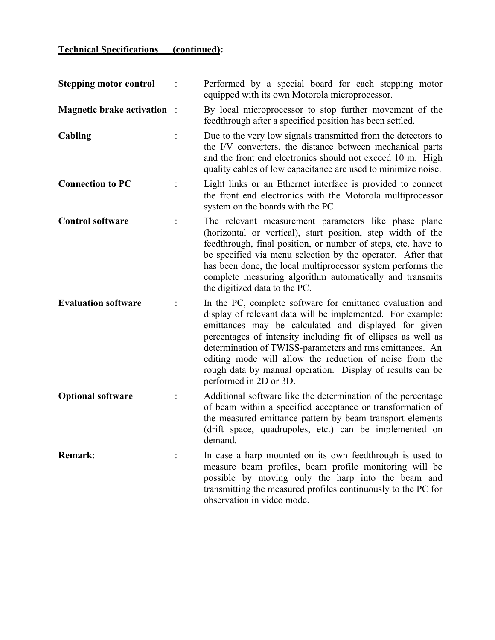| <b>Stepping motor control</b>      | Performed by a special board for each stepping motor<br>equipped with its own Motorola microprocessor.                                                                                                                                                                                                                                                                                                                                                         |
|------------------------------------|----------------------------------------------------------------------------------------------------------------------------------------------------------------------------------------------------------------------------------------------------------------------------------------------------------------------------------------------------------------------------------------------------------------------------------------------------------------|
| <b>Magnetic brake activation</b> : | By local microprocessor to stop further movement of the<br>feedthrough after a specified position has been settled.                                                                                                                                                                                                                                                                                                                                            |
| Cabling                            | Due to the very low signals transmitted from the detectors to<br>the I/V converters, the distance between mechanical parts<br>and the front end electronics should not exceed 10 m. High<br>quality cables of low capacitance are used to minimize noise.                                                                                                                                                                                                      |
| <b>Connection to PC</b>            | Light links or an Ethernet interface is provided to connect<br>the front end electronics with the Motorola multiprocessor<br>system on the boards with the PC.                                                                                                                                                                                                                                                                                                 |
| <b>Control software</b>            | The relevant measurement parameters like phase plane<br>(horizontal or vertical), start position, step width of the<br>feedthrough, final position, or number of steps, etc. have to<br>be specified via menu selection by the operator. After that<br>has been done, the local multiprocessor system performs the<br>complete measuring algorithm automatically and transmits<br>the digitized data to the PC.                                                |
| <b>Evaluation software</b>         | In the PC, complete software for emittance evaluation and<br>display of relevant data will be implemented. For example:<br>emittances may be calculated and displayed for given<br>percentages of intensity including fit of ellipses as well as<br>determination of TWISS-parameters and rms emittances. An<br>editing mode will allow the reduction of noise from the<br>rough data by manual operation. Display of results can be<br>performed in 2D or 3D. |
| <b>Optional software</b>           | Additional software like the determination of the percentage<br>of beam within a specified acceptance or transformation of<br>the measured emittance pattern by beam transport elements<br>(drift space, quadrupoles, etc.) can be implemented on<br>demand.                                                                                                                                                                                                   |
| Remark:                            | In case a harp mounted on its own feedthrough is used to<br>measure beam profiles, beam profile monitoring will be<br>possible by moving only the harp into the beam and<br>transmitting the measured profiles continuously to the PC for<br>observation in video mode.                                                                                                                                                                                        |